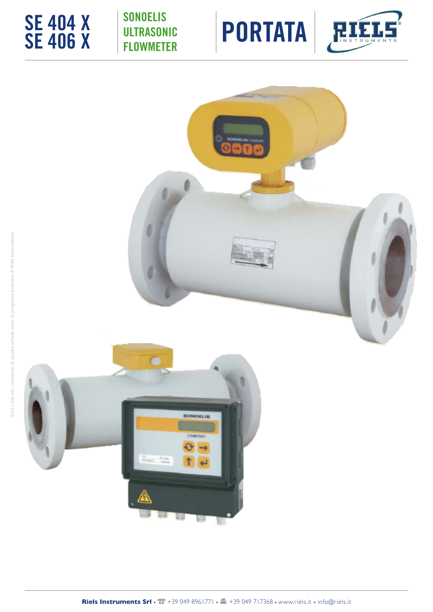

# SONOELIS **ULTRASONIC** FLOWMETER